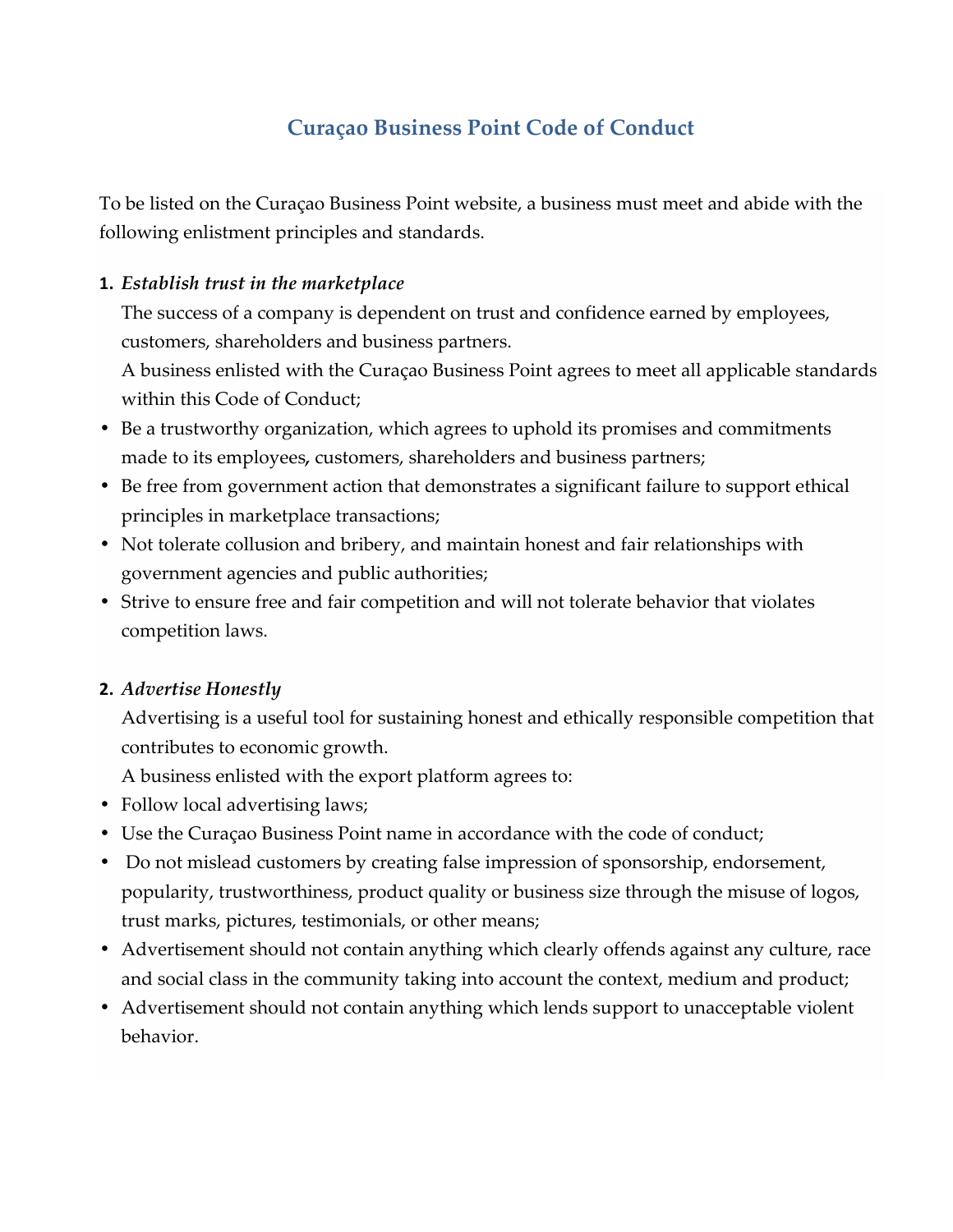# **Curaçao Business Point Code of Conduct**

To be listed on the Curaçao Business Point website, a business must meet and abide with the following enlistment principles and standards.

#### **1.** *Establish trust in the marketplace*

The success of a company is dependent on trust and confidence earned by employees, customers, shareholders and business partners.

A business enlisted with the Curaçao Business Point agrees to meet all applicable standards within this Code of Conduct;

- Be a trustworthy organization, which agrees to uphold its promises and commitments made to its employees*,* customers, shareholders and business partners;
- Be free from government action that demonstrates a significant failure to support ethical principles in marketplace transactions;
- Not tolerate collusion and bribery, and maintain honest and fair relationships with government agencies and public authorities;
- Strive to ensure free and fair competition and will not tolerate behavior that violates competition laws.

## **2.** *Advertise Honestly*

Advertising is a useful tool for sustaining honest and ethically responsible competition that contributes to economic growth.

A business enlisted with the export platform agrees to:

- Follow local advertising laws;
- Use the Curaçao Business Point name in accordance with the code of conduct;
- Do not mislead customers by creating false impression of sponsorship, endorsement, popularity, trustworthiness, product quality or business size through the misuse of logos, trust marks, pictures, testimonials, or other means;
- Advertisement should not contain anything which clearly offends against any culture, race and social class in the community taking into account the context, medium and product;
- Advertisement should not contain anything which lends support to unacceptable violent behavior.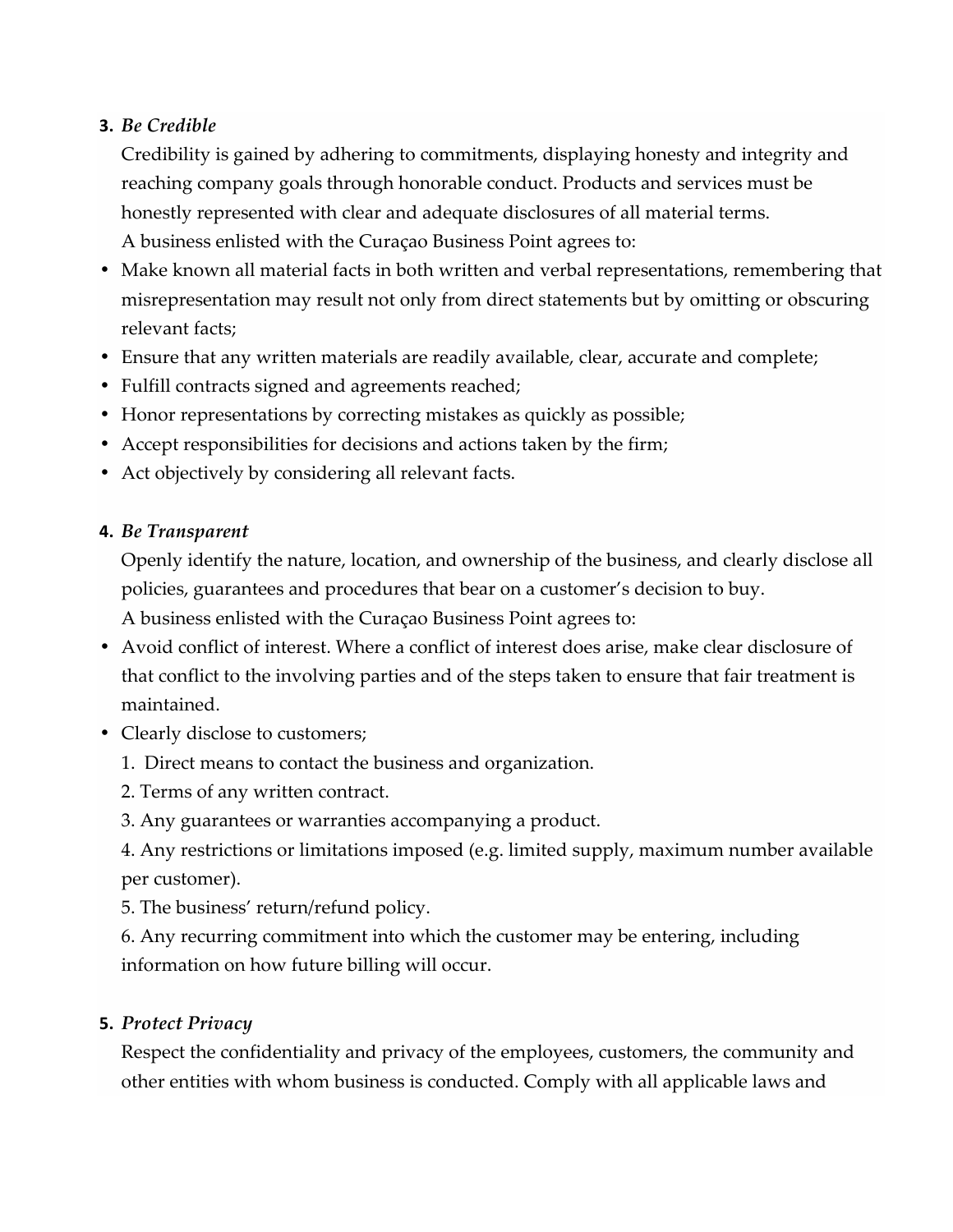## **3.** *Be Credible*

Credibility is gained by adhering to commitments, displaying honesty and integrity and reaching company goals through honorable conduct. Products and services must be honestly represented with clear and adequate disclosures of all material terms. A business enlisted with the Curaçao Business Point agrees to:

- Make known all material facts in both written and verbal representations, remembering that misrepresentation may result not only from direct statements but by omitting or obscuring relevant facts;
- Ensure that any written materials are readily available, clear, accurate and complete;
- Fulfill contracts signed and agreements reached;
- Honor representations by correcting mistakes as quickly as possible;
- Accept responsibilities for decisions and actions taken by the firm;
- Act objectively by considering all relevant facts.

## **4.** *Be Transparent*

Openly identify the nature, location, and ownership of the business, and clearly disclose all policies, guarantees and procedures that bear on a customer's decision to buy. A business enlisted with the Curaçao Business Point agrees to:

- Avoid conflict of interest. Where a conflict of interest does arise, make clear disclosure of that conflict to the involving parties and of the steps taken to ensure that fair treatment is maintained.
- Clearly disclose to customers;
	- 1. Direct means to contact the business and organization.
	- 2. Terms of any written contract.
	- 3. Any guarantees or warranties accompanying a product.

4. Any restrictions or limitations imposed (e.g. limited supply, maximum number available per customer).

5. The business' return/refund policy.

6. Any recurring commitment into which the customer may be entering, including information on how future billing will occur.

## **5.** *Protect Privacy*

Respect the confidentiality and privacy of the employees, customers, the community and other entities with whom business is conducted. Comply with all applicable laws and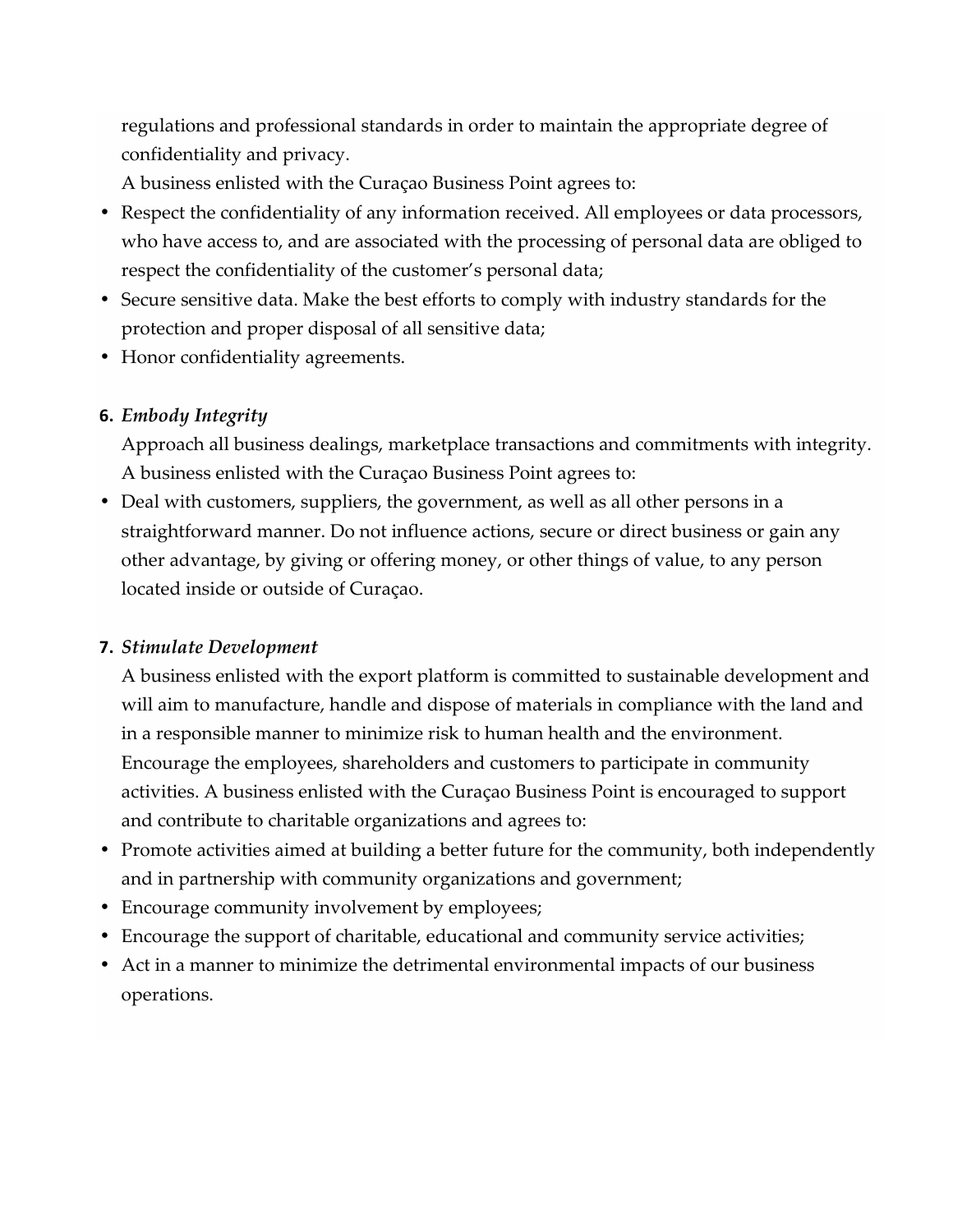regulations and professional standards in order to maintain the appropriate degree of confidentiality and privacy.

A business enlisted with the Curaçao Business Point agrees to:

- Respect the confidentiality of any information received. All employees or data processors, who have access to, and are associated with the processing of personal data are obliged to respect the confidentiality of the customer's personal data;
- Secure sensitive data. Make the best efforts to comply with industry standards for the protection and proper disposal of all sensitive data;
- Honor confidentiality agreements.

# **6.** *Embody Integrity*

Approach all business dealings, marketplace transactions and commitments with integrity. A business enlisted with the Curaçao Business Point agrees to:

• Deal with customers, suppliers, the government, as well as all other persons in a straightforward manner. Do not influence actions, secure or direct business or gain any other advantage, by giving or offering money, or other things of value, to any person located inside or outside of Curaçao.

## **7.** *Stimulate Development*

A business enlisted with the export platform is committed to sustainable development and will aim to manufacture, handle and dispose of materials in compliance with the land and in a responsible manner to minimize risk to human health and the environment. Encourage the employees, shareholders and customers to participate in community activities. A business enlisted with the Curaçao Business Point is encouraged to support and contribute to charitable organizations and agrees to:

- Promote activities aimed at building a better future for the community, both independently and in partnership with community organizations and government;
- Encourage community involvement by employees;
- Encourage the support of charitable, educational and community service activities;
- Act in a manner to minimize the detrimental environmental impacts of our business operations.